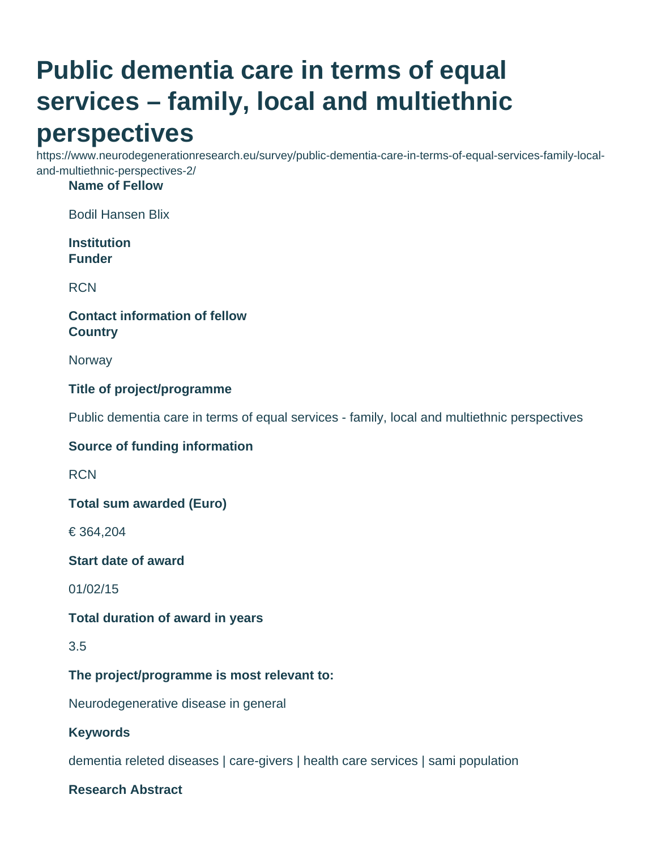# **Public dementia care in terms of equal services – family, local and multiethnic perspectives**

https://www.neurodegenerationresearch.eu/survey/public-dementia-care-in-terms-of-equal-services-family-localand-multiethnic-perspectives-2/

#### **Name of Fellow**

Bodil Hansen Blix

**Institution Funder**

**RCN** 

### **Contact information of fellow Country**

**Norway** 

#### **Title of project/programme**

Public dementia care in terms of equal services - family, local and multiethnic perspectives

#### **Source of funding information**

**RCN** 

**Total sum awarded (Euro)**

€ 364,204

**Start date of award**

01/02/15

#### **Total duration of award in years**

3.5

#### **The project/programme is most relevant to:**

Neurodegenerative disease in general

#### **Keywords**

dementia releted diseases | care-givers | health care services | sami population

#### **Research Abstract**